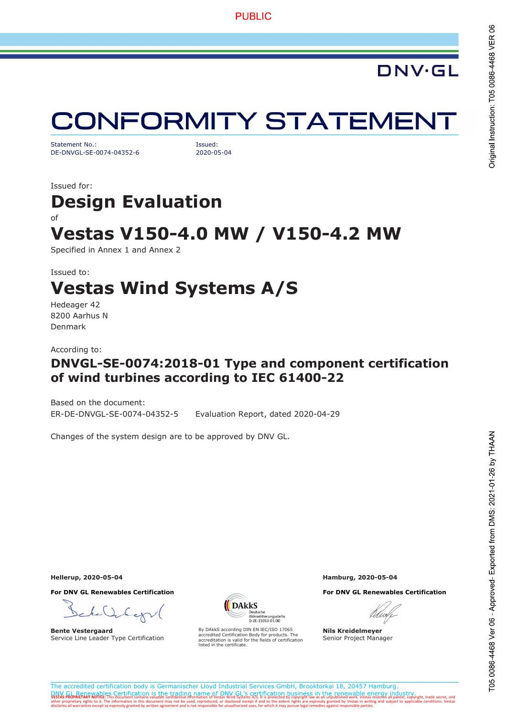# **CONFORMITY STATEMENT**

Statement No.: Issued: DE-DNVGL-SE-0074-04352-6 2020-05-04

Issued for:

# Design Evaluation

### of

## Vestas V150-4.0 MW / V150-4.2 MW

Specified in Annex 1 and Annex 2

### Issued to: Vestas Wind Systems A/S

Hedeager 42 8200 Aarhus N Denmark

According to:

### DNVGL-SE-0074:2018-01 Type and component certification of wind turbines according to IEC 61400-22

Based on the document:

ER-DE-DNVGL-SE-0074-04352-5 Evaluation Report, dated 2020-04-29

Changes of the system design are to be approved by DNV GL.

For DNV GL Renewables Certification For DNV GL Renewables Certification

bex

Bente Vestergaard Service Line Leader Type Certification



By DAkkS according DIN EN IEC/ISO 17065 accredited Certification Body for products. The accreditation is valid for the fields of certification listed in the certificate.

Hellerup, 2020-05-04 Hamburg, 2020-05-04



Nils Kreidelmeyer Senior Project Manager

The accredited certification body is Germanischer Lloyd Industrial Services GmbH, Brooktorkai 18, 20457 Hamburg. DNV GL Renewables Certification is the trading name of DNV GL's certification business in the renewable energy industry industry<br>VestAs PROPRIETARY NOTICE: This document contains valuable confidential information of Vestas disclaims all warranties except as expressly granted by written agreement and is not responsible for unauthorized uses, for which it may pursue legal remedies against responsible parties.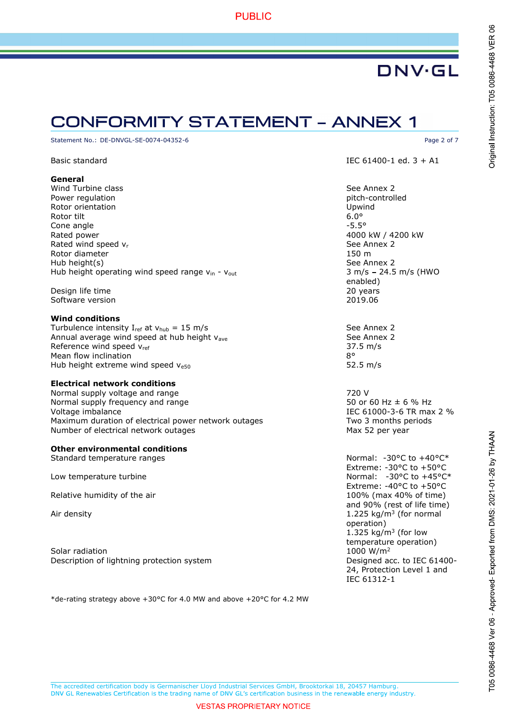### **CONFORMITY STATEMENT - ANNEX 1**

Statement No.: DE-DNVGL-SE-0074-04352-6 Page 2 of 7

#### General

Wind Turbine class **See Annex 2** Power regulation **pitch-controlled** Rotor orientation Upwind Rotor tilt 6.0° Cone angle  $-5.5^\circ$ Rated power 4000 kW / 4200 kW Rated wind speed v<sub>r</sub> See Annex 2 and See Annex 2 and See Annex 2 and See Annex 2 and See Annex 2 Rotor diameter 150 m Hub height(s) See Annex 2 Hub height operating wind speed range  $v_{in}$  -  $v_{out}$  3 m/s - 24.5 m/s (HWO

Design life time 20 years Software version 2019.06

### Wind conditions

Turbulence intensity  $I_{ref}$  at  $v_{hub} = 15 \text{ m/s}$  See Annex 2 Annual average wind speed at hub height v<sub>ave</sub> See Annex 2 Reference wind speed  $v_{ref}$  37.5 m/s Mean flow inclination and the set of the set of the set of the set of the set of the set of the set of the set o Hub height extreme wind speed  $v_{e50}$  52.5 m/s

### Electrical network conditions

Normal supply voltage and range 720 V<br>Normal supply frequency and range 720 V 720 V 720 V 720 V Normal supply frequency and range Voltage imbalance **IEC 61000-3-6 TR** max 2 % Maximum duration of electrical power network outages Two 3 months periods Number of electrical network outages Max 52 per year

### Other environmental conditions

Standard temperature ranges

Low temperature turbine

Relative humidity of the air 100% (max 40% of time)

Solar radiation and the set of the set of the set of the set of the set of the set of the set of the set of the set of the set of the set of the set of the set of the set of the set of the set of the set of the set of the Description of lightning protection system  $\blacksquare$  Designed acc. to IEC 61400-

\*de-rating strategy above +30°C for 4.0 MW and above +20°C for 4.2 MW

Original Instruction: T05 0086-4468 VER 06

Basic standard **IEC 61400-1 ed. 3 + A1** 

enabled)

Normal: -30°C to +40°C\* Extreme: -30°C to +50°C Normal: -30°C to +45°C\* Extreme: -40°C to +50°C and 90% (rest of life time) Air density 1.225 kg/m<sup>3</sup> (for normal operation) 1.325  $kg/m<sup>3</sup>$  (for low temperature operation) 24, Protection Level 1 and IEC 61312-1

The accredited certification body is Germanischer Lloyd Industrial Services GmbH, Brooktorkai 18, 20457 Hamburg. DNV GL Renewables Certification is the trading name of DNV GL's certification business in the renewable energy industry.

**VESTAS PROPRIETARY NOTICE**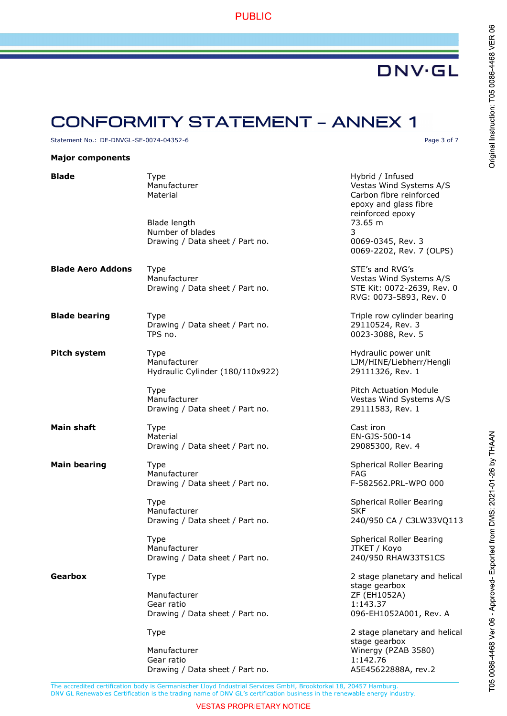### **CONFORMITY STATEMENT - ANNEX 1**

Statement No.: DE-DNVGL-SE-0074-04352-6 Page 3 of 7

#### Major components

**Blade** Type Type The Type and the Hybrid / Infused The Manufacturer Control of the Manufacturer Control of The M<br>Manufacturer The Manufacturer Control of Manufacturer Control of Manufacturer Control of Manufacturer Contro Vestas Wind Systems A/S Material Material Carbon fibre reinforced epoxy and glass fibre reinforced epoxy Blade length 73.65 m Number of blades 3 Drawing / Data sheet / Part no. 0069-0345, Rev. 3 0069-2202, Rev. 7 (OLPS) **Blade Aero Addons** Type STE's and RVG's Manufacturer Manufacturer Christian Messachuset Vestas Wind Systems A/S Drawing / Data sheet / Part no. STE Kit: 0072-2639, Rev. 0 RVG: 0073-5893, Rev. 0 **Blade bearing** Type Triple Triple row cylinder bearing Drawing / Data sheet / Part no. 29110524, Rev. 3 TPS no. **1992** 12:00:0023-3088, Rev. 5 **Pitch system** Type Type **Hydraulic power unit** Hydraulic power unit Manufacturer LJM/HINE/Liebherr/Hengli Hydraulic Cylinder (180/110x922) 29111326, Rev. 1 Type **Pitch Actuation Module** Manufacturer **Vestas Wind Systems A/S** Drawing / Data sheet / Part no. 29111583, Rev. 1 **Main shaft** Type **Cast iron** Type **Cast iron** Cast iron Material EN-GJS-500-14 Drawing / Data sheet / Part no. 29085300, Rev. 4 **Main bearing** Type Type **Spherical Roller Bearing** Spherical Roller Bearing Manufacturer **FAG** Drawing / Data sheet / Part no. F-582562.PRL-WPO 000 Type **Spherical Roller Bearing** Manufacturer SKF<br>Drawing / Data sheet / Part no. 1999 1240/950 CA / C3LW33VQ113 Drawing / Data sheet / Part no. Type Spherical Roller Bearing Manufacturer and a state of the Manufacturer of the Manufacturer of the Manufacturer of the JTKET / Koyo Drawing / Data sheet / Part no. 240/950 RHAW33TS1CS Gearbox Type Type 2 stage planetary and helical stage gearbox Manufacturer ZF (EH1052A) Gear ratio 1:143.37 Drawing / Data sheet / Part no. 096-EH1052A001, Rev. A Type 2 stage planetary and helical stage gearbox Manufacturer Winergy (PZAB 3580) Gear ratio 1:142.76 Drawing / Data sheet / Part no. A5E45622888A, rev.2

T05 0086-4468 Ver 06 - Approved- Exported from DMS: 2021-01-26 by THAAN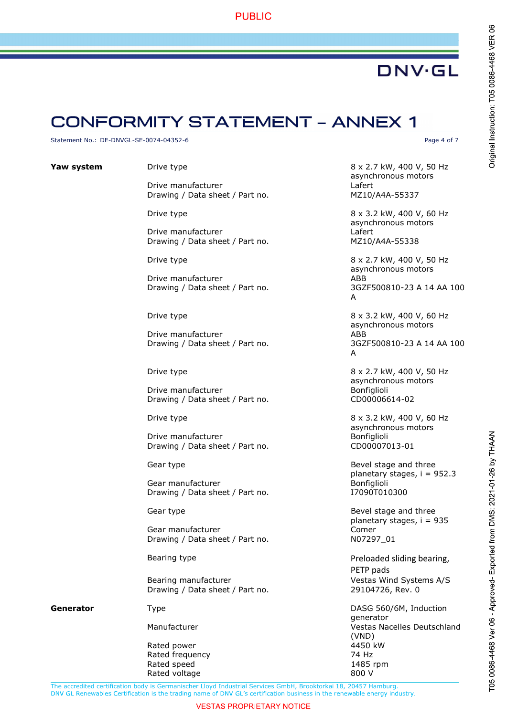### **PUBLIC**

## **DNV·GL**

### **CONFORMITY STATEMENT - ANNEX 1**

Statement No.: DE-DNVGL-SE-0074-04352-6 Page 4 of 7

Drive manufacturer and the contract of the Lafert Drawing / Data sheet / Part no. MZ10/A4A-55337

Drive manufacturer and the contract of the lafert Drawing / Data sheet / Part no. MZ10/A4A-55338

Drive manufacturer and a state of the ABB Drawing / Data sheet / Part no. 3GZF500810-23 A 14 AA 100

Drive manufacturer and a series and a series and a series and a series and a series and a series and a series and  $ABB$ Drawing / Data sheet / Part no. 3GZF500810-23 A 14 AA 100

Drive manufacturer and the manufacturer and the Bonfiglioli Drawing / Data sheet / Part no. CD00006614-02

Drive manufacturer and the manufacture bonfiglioli Drawing / Data sheet / Part no. CD00007013-01

Gear manufacturer and the controller and the Bonfiglioli<br>
Drawing / Data sheet / Part no. The manufacturer and the I7090T010300 Drawing / Data sheet / Part no.

Gear manufacturer and the comer Drawing / Data sheet / Part no. NO7297\_01

Bearing manufacturer values of the Vestas Wind Systems A/S Drawing / Data sheet / Part no. 29104726, Rev. 0

Rated power and the state of the 4450 kW Rated frequency<br>
Rated speed<br>
Rated speed<br>
Rated Speed<br>
2008 Rated speed Rated voltage 800 V

**Yaw system** Drive type **Drive type 8 x 2.7 kW, 400 V, 50 Hz** asynchronous motors

> Drive type 8 x 3.2 kW, 400 V, 60 Hz asynchronous motors

Drive type 8 x 2.7 kW, 400 V, 50 Hz asynchronous motors A

Drive type 8 x 3.2 kW, 400 V, 60 Hz asynchronous motors A

Drive type 8 x 2.7 kW, 400 V, 50 Hz asynchronous motors

Drive type 8 x 3.2 kW, 400 V, 60 Hz asynchronous motors

Gear type **Bevel stage and three** planetary stages, i = 952.3<br>Bonfiglioli

Gear type Gear type **Bevel** stage and three planetary stages, i = 935

Bearing type **Preloaded sliding bearing,** PETP pads

Generator Type Type Type Control Control and DASG 560/6M, Induction generator Manufacturer Vestas Nacelles Deutschland (VND)

Original Instruction: T05 0086-4468 VER 06

The accredited certification body is Germanischer Lloyd Industrial Services GmbH, Brooktorkai 18, 20457 Hamburg. DNV GL Renewables Certification is the trading name of DNV GL's certification business in the renewable energy industry.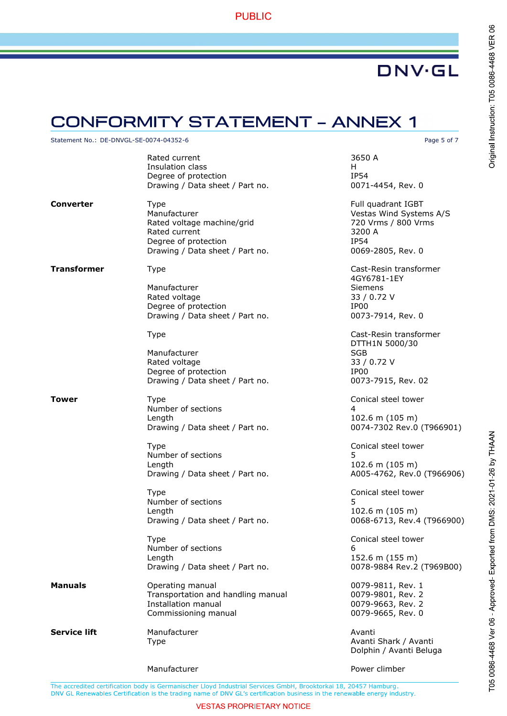### **PUBLIC**

## **DNV·GL**

### **CONFORMITY STATEMENT - ANNEX 1**

Statement No.: DE-DNVGL-SE-0074-04352-6 Page 5 of 7

|                  | Rated current<br>Insulation class<br>Degree of protection<br>Drawing / Data sheet / Part no.                                          | 3650 A<br>H.<br><b>IP54</b><br>0071-4454, Rev. 0                                                                   |  |  |
|------------------|---------------------------------------------------------------------------------------------------------------------------------------|--------------------------------------------------------------------------------------------------------------------|--|--|
| <b>Converter</b> | <b>Type</b><br>Manufacturer<br>Rated voltage machine/grid<br>Rated current<br>Degree of protection<br>Drawing / Data sheet / Part no. | Full quadrant IGBT<br>Vestas Wind Systems A/S<br>720 Vrms / 800 Vrms<br>3200 A<br><b>IP54</b><br>0069-2805, Rev. 0 |  |  |
| Transformer      | Type                                                                                                                                  | Cast-Resin transformer<br>4GY6781-1EY                                                                              |  |  |
|                  | Manufacturer<br>Rated voltage<br>Degree of protection<br>Drawing / Data sheet / Part no.                                              | Siemens<br>33 / 0.72 V<br>IP00<br>0073-7914, Rev. 0                                                                |  |  |
|                  | <b>Type</b>                                                                                                                           | Cast-Resin transformer<br>DTTH1N 5000/30                                                                           |  |  |
|                  | Manufacturer<br>Rated voltage<br>Degree of protection<br>Drawing / Data sheet / Part no.                                              | <b>SGB</b><br>33 / 0.72 V<br>IP00<br>0073-7915, Rev. 02                                                            |  |  |
| Tower            | Type<br>Number of sections<br>Length<br>Drawing / Data sheet / Part no.                                                               | Conical steel tower<br>4<br>$102.6$ m $(105$ m)<br>0074-7302 Rev.0 (T966901)                                       |  |  |
|                  | <b>Type</b><br>Number of sections<br>Length<br>Drawing / Data sheet / Part no.                                                        | Conical steel tower<br>5<br>$102.6$ m $(105$ m)<br>A005-4762, Rev.0 (T966906)                                      |  |  |
|                  | Type<br>Number of sections<br>Length<br>Drawing / Data sheet / Part no.                                                               | Conical steel tower<br>5<br>102.6 m (105 m)<br>0068-6713, Rev.4 (T966900)                                          |  |  |
|                  | Type<br>Number of sections<br>Length<br>Drawing / Data sheet / Part no.                                                               | Conical steel tower<br>6<br>152.6 m (155 m)<br>0078-9884 Rev.2 (T969B00)                                           |  |  |
| <b>Manuals</b>   | Operating manual<br>Transportation and handling manual<br><b>Installation manual</b><br>Commissioning manual                          | 0079-9811, Rev. 1<br>0079-9801, Rev. 2<br>0079-9663, Rev. 2<br>0079-9665, Rev. 0                                   |  |  |
| Service lift     | Manufacturer<br><b>Type</b>                                                                                                           | Avanti<br>Avanti Shark / Avanti<br>Dolphin / Avanti Beluga                                                         |  |  |
|                  | Manufacturer                                                                                                                          | Power climber                                                                                                      |  |  |

T05 0086-4468 Ver 06 - Approved-Exported from DMS: 2021-01-26 by THAAN

The accredited certification body is Germanischer Lloyd Industrial Services GmbH, Brooktorkai 18, 20457 Hamburg.

#### **VESTAS PROPRIETARY NOTICE**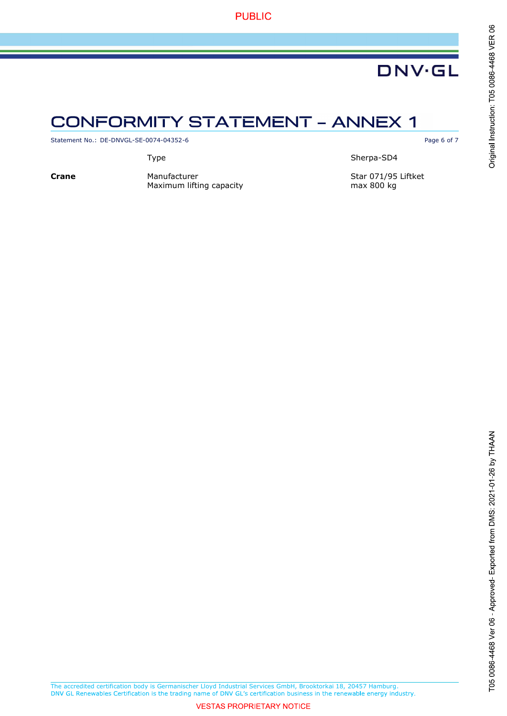### **CONFORMITY STATEMENT - ANNEX 1**

Statement No.: DE-DNVGL-SE-0074-04352-6 Page 6 of 7

Type Sherpa-SD4

Crane Manufacturer Manufacturer Star 071/95 Liftket<br>Maximum lifting capacity max 800 kg max 800 kg Maximum lifting capacity

The accredited certification body is Germanischer Lloyd Industrial Services GmbH, Brooktorkai 18, 20457 Hamburg.

### **VESTAS PROPRIETARY NOTICE**